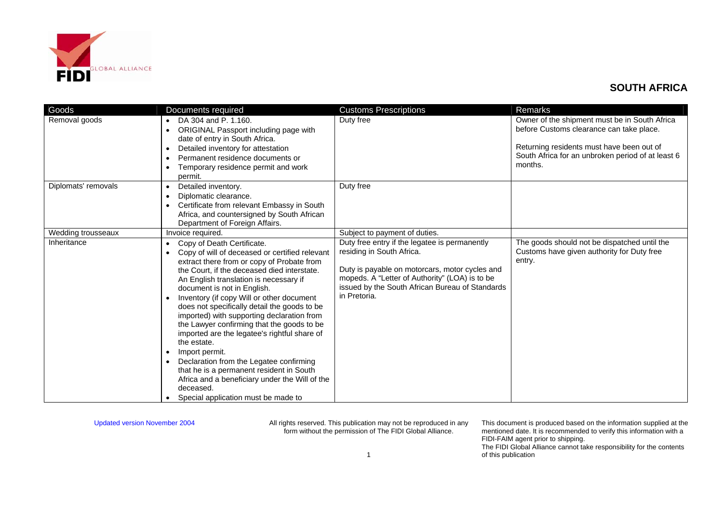

| Goods               | Documents required                                                                                                                                                                                                                                                                                                                                                                                                                                                                                                                                                                                                                                                                                                                                                            | <b>Customs Prescriptions</b>                                                                                                                                                                                                                      | Remarks                                                                                                                                                                                                |
|---------------------|-------------------------------------------------------------------------------------------------------------------------------------------------------------------------------------------------------------------------------------------------------------------------------------------------------------------------------------------------------------------------------------------------------------------------------------------------------------------------------------------------------------------------------------------------------------------------------------------------------------------------------------------------------------------------------------------------------------------------------------------------------------------------------|---------------------------------------------------------------------------------------------------------------------------------------------------------------------------------------------------------------------------------------------------|--------------------------------------------------------------------------------------------------------------------------------------------------------------------------------------------------------|
| Removal goods       | DA 304 and P. 1.160.<br>$\bullet$<br>ORIGINAL Passport including page with<br>date of entry in South Africa.<br>Detailed inventory for attestation<br>$\bullet$<br>Permanent residence documents or<br>$\bullet$<br>Temporary residence permit and work<br>permit.                                                                                                                                                                                                                                                                                                                                                                                                                                                                                                            | Duty free                                                                                                                                                                                                                                         | Owner of the shipment must be in South Africa<br>before Customs clearance can take place.<br>Returning residents must have been out of<br>South Africa for an unbroken period of at least 6<br>months. |
| Diplomats' removals | Detailed inventory.<br>$\bullet$<br>Diplomatic clearance.<br>$\bullet$<br>Certificate from relevant Embassy in South<br>Africa, and countersigned by South African<br>Department of Foreign Affairs.                                                                                                                                                                                                                                                                                                                                                                                                                                                                                                                                                                          | Duty free                                                                                                                                                                                                                                         |                                                                                                                                                                                                        |
| Wedding trousseaux  | Invoice required.                                                                                                                                                                                                                                                                                                                                                                                                                                                                                                                                                                                                                                                                                                                                                             | Subject to payment of duties.                                                                                                                                                                                                                     |                                                                                                                                                                                                        |
| Inheritance         | Copy of Death Certificate.<br>$\bullet$<br>Copy of will of deceased or certified relevant<br>extract there from or copy of Probate from<br>the Court, if the deceased died interstate.<br>An English translation is necessary if<br>document is not in English.<br>Inventory (if copy Will or other document<br>$\bullet$<br>does not specifically detail the goods to be<br>imported) with supporting declaration from<br>the Lawyer confirming that the goods to be<br>imported are the legatee's rightful share of<br>the estate.<br>Import permit.<br>$\bullet$<br>Declaration from the Legatee confirming<br>$\bullet$<br>that he is a permanent resident in South<br>Africa and a beneficiary under the Will of the<br>deceased.<br>Special application must be made to | Duty free entry if the legatee is permanently<br>residing in South Africa.<br>Duty is payable on motorcars, motor cycles and<br>mopeds. A "Letter of Authority" (LOA) is to be<br>issued by the South African Bureau of Standards<br>in Pretoria. | The goods should not be dispatched until the<br>Customs have given authority for Duty free<br>entry.                                                                                                   |

Updated version November 2004 All rights reserved. This publication may not be reproduced in any form without the permission of The FIDI Global Alliance.

This document is produced based on the information supplied at the mentioned date. It is recommended to verify this information with a FIDI-FAIM agent prior to shipping.

The FIDI Global Alliance cannot take responsibility for the contents of this publication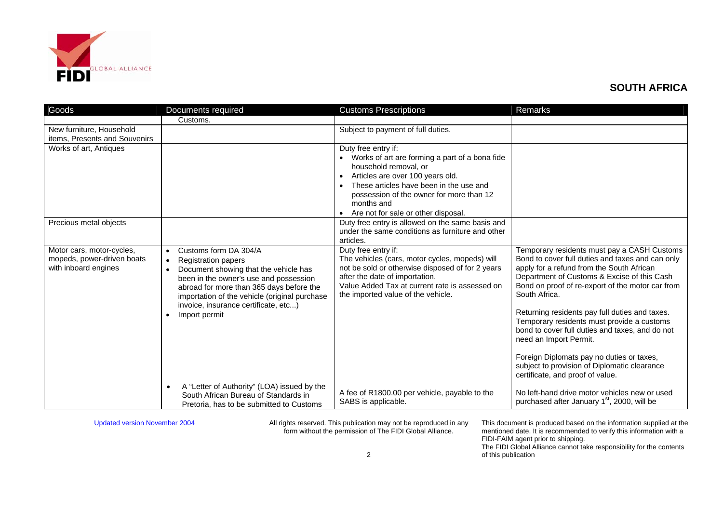

| Goods                                                                           | Documents required                                                                                                                                                                                                                                                                                                           | <b>Customs Prescriptions</b>                                                                                                                                                                                                                                                                  | Remarks                                                                                                                                                                                                                                                                                                                                                                                                                                                                                                                                                                        |
|---------------------------------------------------------------------------------|------------------------------------------------------------------------------------------------------------------------------------------------------------------------------------------------------------------------------------------------------------------------------------------------------------------------------|-----------------------------------------------------------------------------------------------------------------------------------------------------------------------------------------------------------------------------------------------------------------------------------------------|--------------------------------------------------------------------------------------------------------------------------------------------------------------------------------------------------------------------------------------------------------------------------------------------------------------------------------------------------------------------------------------------------------------------------------------------------------------------------------------------------------------------------------------------------------------------------------|
|                                                                                 | Customs.                                                                                                                                                                                                                                                                                                                     |                                                                                                                                                                                                                                                                                               |                                                                                                                                                                                                                                                                                                                                                                                                                                                                                                                                                                                |
| New furniture, Household<br>items, Presents and Souvenirs                       |                                                                                                                                                                                                                                                                                                                              | Subject to payment of full duties.                                                                                                                                                                                                                                                            |                                                                                                                                                                                                                                                                                                                                                                                                                                                                                                                                                                                |
| Works of art, Antiques                                                          |                                                                                                                                                                                                                                                                                                                              | Duty free entry if:<br>• Works of art are forming a part of a bona fide<br>household removal, or<br>Articles are over 100 years old.<br>$\bullet$<br>These articles have been in the use and<br>possession of the owner for more than 12<br>months and<br>Are not for sale or other disposal. |                                                                                                                                                                                                                                                                                                                                                                                                                                                                                                                                                                                |
| Precious metal objects                                                          |                                                                                                                                                                                                                                                                                                                              | Duty free entry is allowed on the same basis and<br>under the same conditions as furniture and other<br>articles.                                                                                                                                                                             |                                                                                                                                                                                                                                                                                                                                                                                                                                                                                                                                                                                |
| Motor cars, motor-cycles,<br>mopeds, power-driven boats<br>with inboard engines | Customs form DA 304/A<br>$\bullet$<br>Registration papers<br>$\bullet$<br>Document showing that the vehicle has<br>$\bullet$<br>been in the owner's use and possession<br>abroad for more than 365 days before the<br>importation of the vehicle (original purchase<br>invoice, insurance certificate, etc)<br>Import permit | Duty free entry if:<br>The vehicles (cars, motor cycles, mopeds) will<br>not be sold or otherwise disposed of for 2 years<br>after the date of importation.<br>Value Added Tax at current rate is assessed on<br>the imported value of the vehicle.                                           | Temporary residents must pay a CASH Customs<br>Bond to cover full duties and taxes and can only<br>apply for a refund from the South African<br>Department of Customs & Excise of this Cash<br>Bond on proof of re-export of the motor car from<br>South Africa.<br>Returning residents pay full duties and taxes.<br>Temporary residents must provide a customs<br>bond to cover full duties and taxes, and do not<br>need an Import Permit.<br>Foreign Diplomats pay no duties or taxes,<br>subject to provision of Diplomatic clearance<br>certificate, and proof of value. |
|                                                                                 | A "Letter of Authority" (LOA) issued by the<br>$\bullet$<br>South African Bureau of Standards in<br>Pretoria, has to be submitted to Customs                                                                                                                                                                                 | A fee of R1800.00 per vehicle, payable to the<br>SABS is applicable.                                                                                                                                                                                                                          | No left-hand drive motor vehicles new or used<br>purchased after January 1 <sup>st</sup> , 2000, will be                                                                                                                                                                                                                                                                                                                                                                                                                                                                       |

Updated version November 2004 All rights reserved. This publication may not be reproduced in any form without the permission of The FIDI Global Alliance.

This document is produced based on the information supplied at the mentioned date. It is recommended to verify this information with a FIDI-FAIM agent prior to shipping. The FIDI Global Alliance cannot take responsibility for the contents of this publication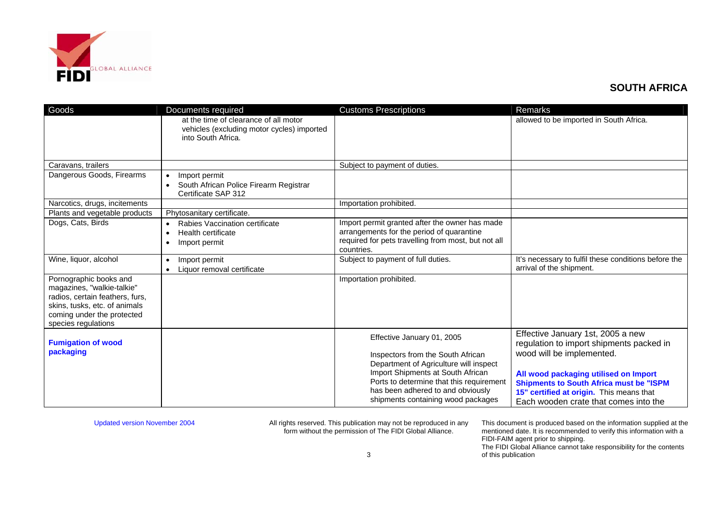

| Goods                                                                                                                                                                         | Documents required                                                                                        | <b>Customs Prescriptions</b>                                                                                                                                                                                                                                          | Remarks                                                                                                                                                                                                                                                                                    |
|-------------------------------------------------------------------------------------------------------------------------------------------------------------------------------|-----------------------------------------------------------------------------------------------------------|-----------------------------------------------------------------------------------------------------------------------------------------------------------------------------------------------------------------------------------------------------------------------|--------------------------------------------------------------------------------------------------------------------------------------------------------------------------------------------------------------------------------------------------------------------------------------------|
|                                                                                                                                                                               | at the time of clearance of all motor<br>vehicles (excluding motor cycles) imported<br>into South Africa. |                                                                                                                                                                                                                                                                       | allowed to be imported in South Africa.                                                                                                                                                                                                                                                    |
| Caravans, trailers                                                                                                                                                            |                                                                                                           | Subject to payment of duties.                                                                                                                                                                                                                                         |                                                                                                                                                                                                                                                                                            |
| Dangerous Goods, Firearms                                                                                                                                                     | Import permit<br>$\bullet$<br>South African Police Firearm Registrar<br>$\bullet$<br>Certificate SAP 312  |                                                                                                                                                                                                                                                                       |                                                                                                                                                                                                                                                                                            |
| Narcotics, drugs, incitements                                                                                                                                                 |                                                                                                           | Importation prohibited.                                                                                                                                                                                                                                               |                                                                                                                                                                                                                                                                                            |
| Plants and vegetable products                                                                                                                                                 | Phytosanitary certificate.                                                                                |                                                                                                                                                                                                                                                                       |                                                                                                                                                                                                                                                                                            |
| Dogs, Cats, Birds                                                                                                                                                             | Rabies Vaccination certificate<br>Health certificate<br>Import permit<br>$\bullet$                        | Import permit granted after the owner has made<br>arrangements for the period of quarantine<br>required for pets travelling from most, but not all<br>countries.                                                                                                      |                                                                                                                                                                                                                                                                                            |
| Wine, liquor, alcohol                                                                                                                                                         | Import permit<br>$\bullet$<br>Liquor removal certificate<br>$\bullet$                                     | Subject to payment of full duties.                                                                                                                                                                                                                                    | It's necessary to fulfil these conditions before the<br>arrival of the shipment.                                                                                                                                                                                                           |
| Pornographic books and<br>magazines, "walkie-talkie"<br>radios, certain feathers, furs,<br>skins, tusks, etc. of animals<br>coming under the protected<br>species regulations |                                                                                                           | Importation prohibited.                                                                                                                                                                                                                                               |                                                                                                                                                                                                                                                                                            |
| <b>Fumigation of wood</b><br>packaging                                                                                                                                        |                                                                                                           | Effective January 01, 2005<br>Inspectors from the South African<br>Department of Agriculture will inspect<br>Import Shipments at South African<br>Ports to determine that this requirement<br>has been adhered to and obviously<br>shipments containing wood packages | Effective January 1st, 2005 a new<br>regulation to import shipments packed in<br>wood will be implemented.<br>All wood packaging utilised on Import<br><b>Shipments to South Africa must be "ISPM</b><br>15" certified at origin. This means that<br>Each wooden crate that comes into the |

Updated version November 2004 All rights reserved. This publication may not be reproduced in any form without the permission of The FIDI Global Alliance.

This document is produced based on the information supplied at the mentioned date. It is recommended to verify this information with a FIDI-FAIM agent prior to shipping. The FIDI Global Alliance cannot take responsibility for the contents of this publication